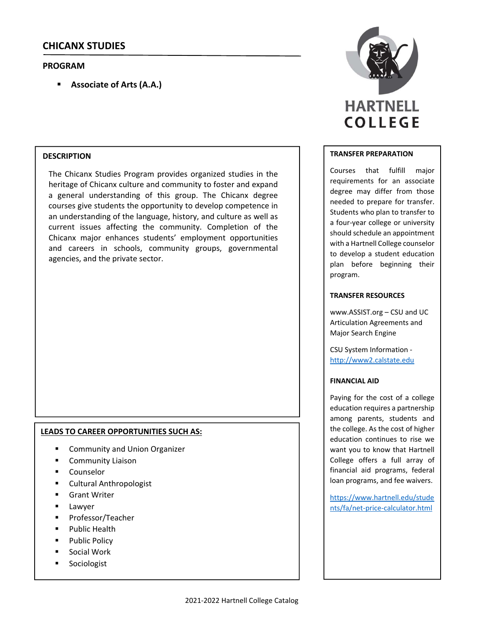# **CHICANX STUDIES**

# **PROGRAM**

**Associate of Arts (A.A.)**

# **DESCRIPTION**

The Chicanx Studies Program provides organized studies in the heritage of Chicanx culture and community to foster and expand a general understanding of this group. The Chicanx degree courses give students the opportunity to develop competence in an understanding of the language, history, and culture as well as current issues affecting the community. Completion of the Chicanx major enhances students' employment opportunities and careers in schools, community groups, governmental agencies, and the private sector.

## **LEADS TO CAREER OPPORTUNITIES SUCH AS:**

- Community and Union Organizer
- Community Liaison
- Counselor
- Cultural Anthropologist
- **Grant Writer**
- **Lawyer**
- Professor/Teacher
- **Public Health**
- Public Policy
- Social Work
- **Sociologist**



#### **TRANSFER PREPARATION**

Courses that fulfill major requirements for an associate degree may differ from those needed to prepare for transfer. Students who plan to transfer to a four‐year college or university should schedule an appointment with a Hartnell College counselor to develop a student education plan before beginning their program.

## **TRANSFER RESOURCES**

www.ASSIST.org – CSU and UC Articulation Agreements and Major Search Engine

CSU System Information ‐ http://www2.calstate.edu

#### **FINANCIAL AID**

Paying for the cost of a college education requires a partnership among parents, students and the college. As the cost of higher education continues to rise we want you to know that Hartnell College offers a full array of financial aid programs, federal loan programs, and fee waivers.

https://www.hartnell.edu/stude nts/fa/net‐price‐calculator.html